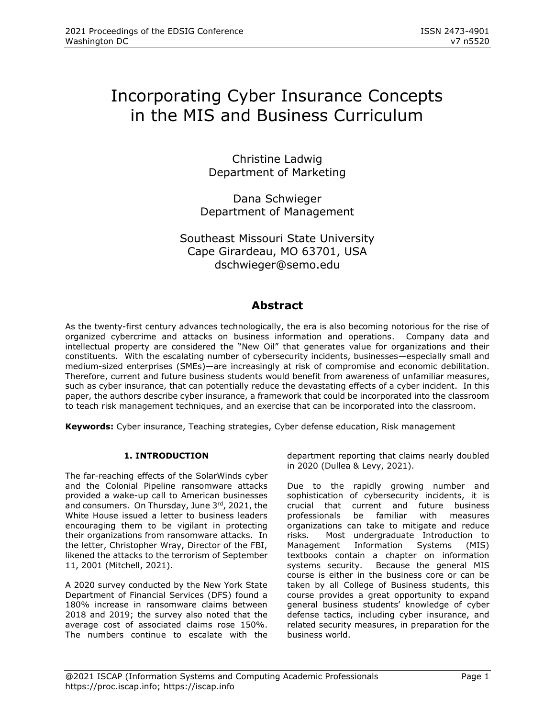# Incorporating Cyber Insurance Concepts in the MIS and Business Curriculum

Christine Ladwig Department of Marketing

Dana Schwieger Department of Management

Southeast Missouri State University Cape Girardeau, MO 63701, USA [dschwieger@semo.edu](mailto:dschwieger@semo.edu)

## **Abstract**

As the twenty-first century advances technologically, the era is also becoming notorious for the rise of organized cybercrime and attacks on business information and operations. Company data and intellectual property are considered the "New Oil" that generates value for organizations and their constituents. With the escalating number of cybersecurity incidents, businesses—especially small and medium-sized enterprises (SMEs)—are increasingly at risk of compromise and economic debilitation. Therefore, current and future business students would benefit from awareness of unfamiliar measures, such as cyber insurance, that can potentially reduce the devastating effects of a cyber incident. In this paper, the authors describe cyber insurance, a framework that could be incorporated into the classroom to teach risk management techniques, and an exercise that can be incorporated into the classroom.

**Keywords:** Cyber insurance, Teaching strategies, Cyber defense education, Risk management

## **1. INTRODUCTION**

The far-reaching effects of the SolarWinds cyber and the Colonial Pipeline ransomware attacks provided a wake-up call to American businesses and consumers. On Thursday, June 3rd, 2021, the White House issued a letter to business leaders encouraging them to be vigilant in protecting their organizations from ransomware attacks. In the letter, Christopher Wray, Director of the FBI, likened the attacks to the terrorism of September 11, 2001 (Mitchell, 2021).

A 2020 survey conducted by the New York State Department of Financial Services (DFS) found a 180% increase in ransomware claims between 2018 and 2019; the survey also noted that the average cost of associated claims rose 150%. The numbers continue to escalate with the department reporting that claims nearly doubled in 2020 (Dullea & Levy, 2021).

Due to the rapidly growing number and sophistication of cybersecurity incidents, it is crucial that current and future business professionals be familiar with measures organizations can take to mitigate and reduce risks. Most undergraduate Introduction to Management Information Systems (MIS) textbooks contain a chapter on information systems security. Because the general MIS course is either in the business core or can be taken by all College of Business students, this course provides a great opportunity to expand general business students' knowledge of cyber defense tactics, including cyber insurance, and related security measures, in preparation for the business world.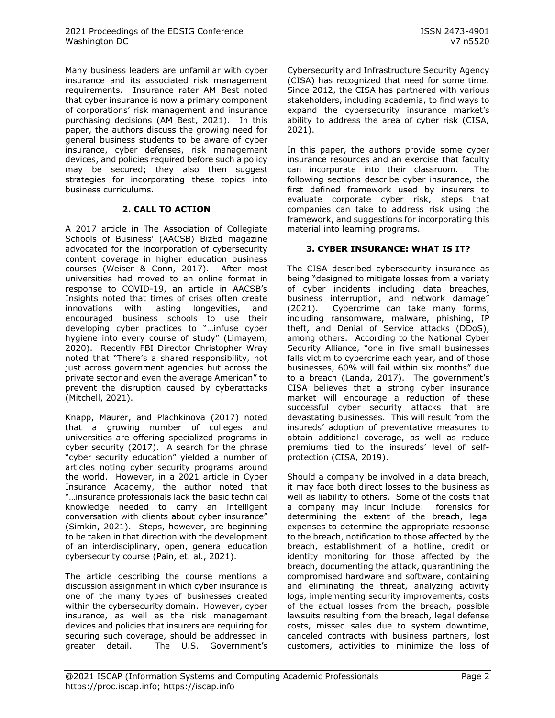Many business leaders are unfamiliar with cyber insurance and its associated risk management requirements. Insurance rater AM Best noted that cyber insurance is now a primary component of corporations' risk management and insurance purchasing decisions (AM Best, 2021). In this paper, the authors discuss the growing need for general business students to be aware of cyber insurance, cyber defenses, risk management devices, and policies required before such a policy may be secured; they also then suggest strategies for incorporating these topics into business curriculums.

## **2. CALL TO ACTION**

A 2017 article in The Association of Collegiate Schools of Business' (AACSB) BizEd magazine advocated for the incorporation of cybersecurity content coverage in higher education business courses (Weiser & Conn, 2017). After most universities had moved to an online format in response to COVID-19, an article in AACSB's Insights noted that times of crises often create innovations with lasting longevities, and encouraged business schools to use their developing cyber practices to "…infuse cyber hygiene into every course of study" (Limayem, 2020). Recently FBI Director Christopher Wray noted that "There's a shared responsibility, not just across government agencies but across the private sector and even the average American" to prevent the disruption caused by cyberattacks (Mitchell, 2021).

Knapp, Maurer, and Plachkinova (2017) noted that a growing number of colleges and universities are offering specialized programs in cyber security (2017). A search for the phrase "cyber security education" yielded a number of articles noting cyber security programs around the world. However, in a 2021 article in Cyber Insurance Academy, the author noted that "…insurance professionals lack the basic technical knowledge needed to carry an intelligent conversation with clients about cyber insurance" (Simkin, 2021). Steps, however, are beginning to be taken in that direction with the development of an interdisciplinary, open, general education cybersecurity course (Pain, et. al., 2021).

The article describing the course mentions a discussion assignment in which cyber insurance is one of the many types of businesses created within the cybersecurity domain. However, cyber insurance, as well as the risk management devices and policies that insurers are requiring for securing such coverage, should be addressed in greater detail. The U.S. Government's

Cybersecurity and Infrastructure Security Agency (CISA) has recognized that need for some time. Since 2012, the CISA has partnered with various stakeholders, including academia, to find ways to expand the cybersecurity insurance market's ability to address the area of cyber risk (CISA, 2021).

In this paper, the authors provide some cyber insurance resources and an exercise that faculty can incorporate into their classroom. The following sections describe cyber insurance, the first defined framework used by insurers to evaluate corporate cyber risk, steps that companies can take to address risk using the framework, and suggestions for incorporating this material into learning programs.

## **3. CYBER INSURANCE: WHAT IS IT?**

The CISA described cybersecurity insurance as being "designed to mitigate losses from a variety of cyber incidents including data breaches, business interruption, and network damage" (2021). Cybercrime can take many forms, including ransomware, malware, phishing, IP theft, and Denial of Service attacks (DDoS), among others. According to the National Cyber Security Alliance, "one in five small businesses falls victim to cybercrime each year, and of those businesses, 60% will fail within six months" due to a breach (Landa, 2017). The government's CISA believes that a strong cyber insurance market will encourage a reduction of these successful cyber security attacks that are devastating businesses. This will result from the insureds' adoption of preventative measures to obtain additional coverage, as well as reduce premiums tied to the insureds' level of selfprotection (CISA, 2019).

Should a company be involved in a data breach, it may face both direct losses to the business as well as liability to others. Some of the costs that a company may incur include: forensics for determining the extent of the breach, legal expenses to determine the appropriate response to the breach, notification to those affected by the breach, establishment of a hotline, credit or identity monitoring for those affected by the breach, documenting the attack, quarantining the compromised hardware and software, containing and eliminating the threat, analyzing activity logs, implementing security improvements, costs of the actual losses from the breach, possible lawsuits resulting from the breach, legal defense costs, missed sales due to system downtime, canceled contracts with business partners, lost customers, activities to minimize the loss of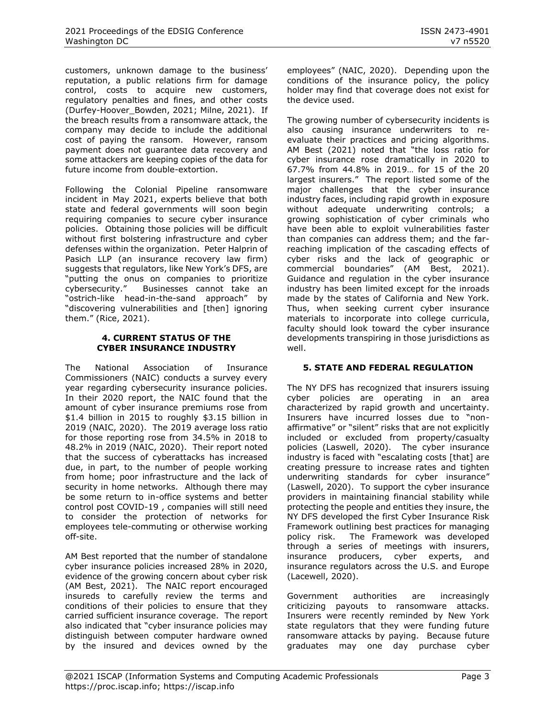customers, unknown damage to the business' reputation, a public relations firm for damage control, costs to acquire new customers, regulatory penalties and fines, and other costs (Durfey-Hoover\_Bowden, 2021; Milne, 2021). If the breach results from a ransomware attack, the company may decide to include the additional cost of paying the ransom. However, ransom payment does not guarantee data recovery and some attackers are keeping copies of the data for future income from double-extortion.

Following the Colonial Pipeline ransomware incident in May 2021, experts believe that both state and federal governments will soon begin requiring companies to secure cyber insurance policies. Obtaining those policies will be difficult without first bolstering infrastructure and cyber defenses within the organization. Peter Halprin of Pasich LLP (an insurance recovery law firm) suggests that regulators, like New York's DFS, are "putting the onus on companies to prioritize cybersecurity." Businesses cannot take an "ostrich-like head-in-the-sand approach" by "discovering vulnerabilities and [then] ignoring them." (Rice, 2021).

#### **4. CURRENT STATUS OF THE CYBER INSURANCE INDUSTRY**

The National Association of Insurance Commissioners (NAIC) conducts a survey every year regarding cybersecurity insurance policies. In their 2020 report, the NAIC found that the amount of cyber insurance premiums rose from \$1.4 billion in 2015 to roughly \$3.15 billion in 2019 (NAIC, 2020). The 2019 average loss ratio for those reporting rose from 34.5% in 2018 to 48.2% in 2019 (NAIC, 2020). Their report noted that the success of cyberattacks has increased due, in part, to the number of people working from home; poor infrastructure and the lack of security in home networks. Although there may be some return to in-office systems and better control post COVID-19 , companies will still need to consider the protection of networks for employees tele-commuting or otherwise working off-site.

AM Best reported that the number of standalone cyber insurance policies increased 28% in 2020, evidence of the growing concern about cyber risk (AM Best, 2021). The NAIC report encouraged insureds to carefully review the terms and conditions of their policies to ensure that they carried sufficient insurance coverage. The report also indicated that "cyber insurance policies may distinguish between computer hardware owned by the insured and devices owned by the

employees" (NAIC, 2020). Depending upon the conditions of the insurance policy, the policy holder may find that coverage does not exist for the device used.

The growing number of cybersecurity incidents is also causing insurance underwriters to reevaluate their practices and pricing algorithms. AM Best (2021) noted that "the loss ratio for cyber insurance rose dramatically in 2020 to 67.7% from 44.8% in 2019… for 15 of the 20 largest insurers." The report listed some of the major challenges that the cyber insurance industry faces, including rapid growth in exposure without adequate underwriting controls; a growing sophistication of cyber criminals who have been able to exploit vulnerabilities faster than companies can address them; and the farreaching implication of the cascading effects of cyber risks and the lack of geographic or commercial boundaries" (AM Best, 2021). Guidance and regulation in the cyber insurance industry has been limited except for the inroads made by the states of California and New York. Thus, when seeking current cyber insurance materials to incorporate into college curricula, faculty should look toward the cyber insurance developments transpiring in those jurisdictions as well.

## **5. STATE AND FEDERAL REGULATION**

The NY DFS has recognized that insurers issuing cyber policies are operating in an area characterized by rapid growth and uncertainty. Insurers have incurred losses due to "nonaffirmative" or "silent" risks that are not explicitly included or excluded from property/casualty policies (Laswell, 2020). The cyber insurance industry is faced with "escalating costs [that] are creating pressure to increase rates and tighten underwriting standards for cyber insurance" (Laswell, 2020). To support the cyber insurance providers in maintaining financial stability while protecting the people and entities they insure, the NY DFS developed the first Cyber Insurance Risk Framework outlining best practices for managing policy risk. The Framework was developed through a series of meetings with insurers, insurance producers, cyber experts, and insurance regulators across the U.S. and Europe (Lacewell, 2020).

Government authorities are increasingly criticizing payouts to ransomware attacks. Insurers were recently reminded by New York state regulators that they were funding future ransomware attacks by paying. Because future graduates may one day purchase cyber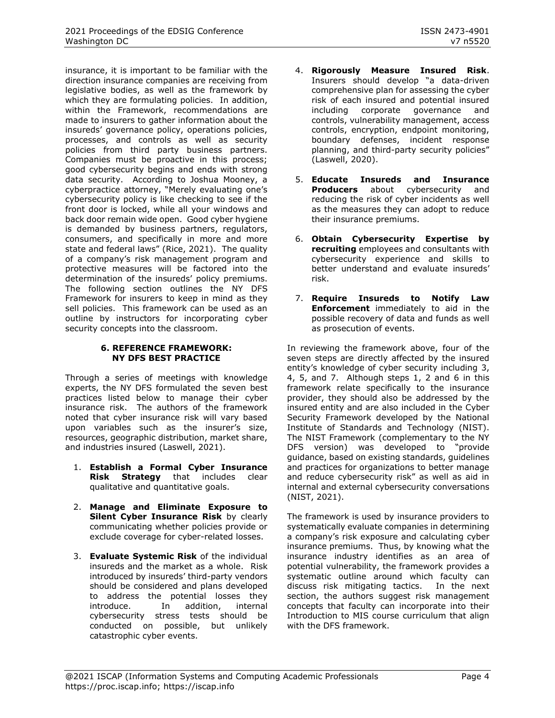insurance, it is important to be familiar with the direction insurance companies are receiving from legislative bodies, as well as the framework by which they are formulating policies. In addition, within the Framework, recommendations are made to insurers to gather information about the insureds' governance policy, operations policies, processes, and controls as well as security policies from third party business partners. Companies must be proactive in this process; good cybersecurity begins and ends with strong data security. According to Joshua Mooney, a cyberpractice attorney, "Merely evaluating one's cybersecurity policy is like checking to see if the front door is locked, while all your windows and back door remain wide open. Good cyber hygiene is demanded by business partners, regulators, consumers, and specifically in more and more state and federal laws" (Rice, 2021). The quality of a company's risk management program and protective measures will be factored into the determination of the insureds' policy premiums. The following section outlines the NY DFS Framework for insurers to keep in mind as they sell policies. This framework can be used as an outline by instructors for incorporating cyber security concepts into the classroom.

### **6. REFERENCE FRAMEWORK: NY DFS BEST PRACTICE**

Through a series of meetings with knowledge experts, the NY DFS formulated the seven best practices listed below to manage their cyber insurance risk. The authors of the framework noted that cyber insurance risk will vary based upon variables such as the insurer's size, resources, geographic distribution, market share, and industries insured (Laswell, 2021).

- 1. **Establish a Formal Cyber Insurance Risk Strategy** that includes clear qualitative and quantitative goals.
- 2. **Manage and Eliminate Exposure to Silent Cyber Insurance Risk** by clearly communicating whether policies provide or exclude coverage for cyber-related losses.
- 3. **Evaluate Systemic Risk** of the individual insureds and the market as a whole. Risk introduced by insureds' third-party vendors should be considered and plans developed to address the potential losses they introduce. In addition, internal cybersecurity stress tests should be conducted on possible, but unlikely catastrophic cyber events.
- 4. **Rigorously Measure Insured Risk**. Insurers should develop "a data-driven comprehensive plan for assessing the cyber risk of each insured and potential insured including corporate governance and controls, vulnerability management, access controls, encryption, endpoint monitoring, boundary defenses, incident response planning, and third-party security policies" (Laswell, 2020).
- 5. **Educate Insureds and Insurance Producers** about cybersecurity and reducing the risk of cyber incidents as well as the measures they can adopt to reduce their insurance premiums.
- 6. **Obtain Cybersecurity Expertise by recruiting** employees and consultants with cybersecurity experience and skills to better understand and evaluate insureds' risk.
- 7. **Require Insureds to Notify Law Enforcement** immediately to aid in the possible recovery of data and funds as well as prosecution of events.

In reviewing the framework above, four of the seven steps are directly affected by the insured entity's knowledge of cyber security including 3, 4, 5, and 7. Although steps 1, 2 and 6 in this framework relate specifically to the insurance provider, they should also be addressed by the insured entity and are also included in the Cyber Security Framework developed by the National Institute of Standards and Technology (NIST). The NIST Framework (complementary to the NY DFS version) was developed to "provide guidance, based on existing standards, guidelines and practices for organizations to better manage and reduce cybersecurity risk" as well as aid in internal and external cybersecurity conversations (NIST, 2021).

The framework is used by insurance providers to systematically evaluate companies in determining a company's risk exposure and calculating cyber insurance premiums. Thus, by knowing what the insurance industry identifies as an area of potential vulnerability, the framework provides a systematic outline around which faculty can discuss risk mitigating tactics. In the next section, the authors suggest risk management concepts that faculty can incorporate into their Introduction to MIS course curriculum that align with the DFS framework.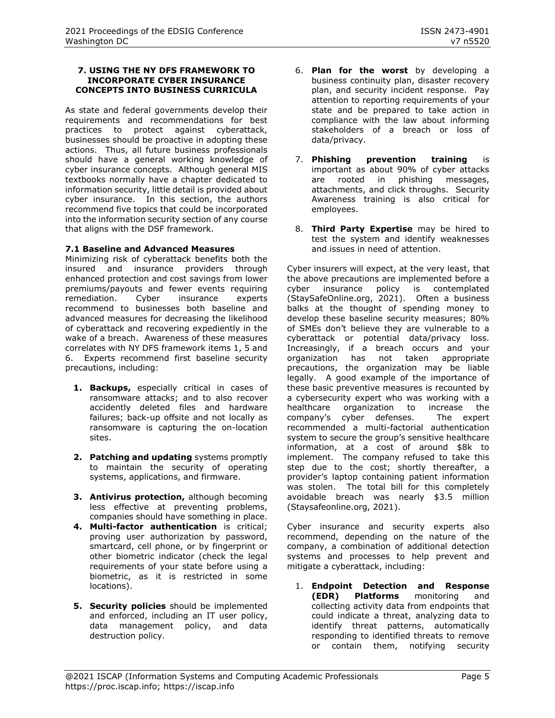#### **7. USING THE NY DFS FRAMEWORK TO INCORPORATE CYBER INSURANCE CONCEPTS INTO BUSINESS CURRICULA**

As state and federal governments develop their requirements and recommendations for best practices to protect against cyberattack, businesses should be proactive in adopting these actions. Thus, all future business professionals should have a general working knowledge of cyber insurance concepts. Although general MIS textbooks normally have a chapter dedicated to information security, little detail is provided about cyber insurance. In this section, the authors recommend five topics that could be incorporated into the information security section of any course that aligns with the DSF framework.

### **7.1 Baseline and Advanced Measures**

Minimizing risk of cyberattack benefits both the insured and insurance providers through enhanced protection and cost savings from lower premiums/payouts and fewer events requiring remediation. Cyber insurance experts recommend to businesses both baseline and advanced measures for decreasing the likelihood of cyberattack and recovering expediently in the wake of a breach. Awareness of these measures correlates with NY DFS framework items 1, 5 and 6. Experts recommend first baseline security precautions, including:

- **1. Backups,** especially critical in cases of ransomware attacks; and to also recover accidently deleted files and hardware failures; back-up offsite and not locally as ransomware is capturing the on-location sites.
- **2. Patching and updating** systems promptly to maintain the security of operating systems, applications, and firmware.
- **3. Antivirus protection,** although becoming less effective at preventing problems, companies should have something in place.
- **4. Multi-factor authentication** is critical; proving user authorization by password, smartcard, cell phone, or by fingerprint or other biometric indicator (check the legal requirements of your state before using a biometric, as it is restricted in some locations).
- **5. Security policies** should be implemented and enforced, including an IT user policy, data management policy, and data destruction policy.
- 6. **Plan for the worst** by developing a business continuity plan, disaster recovery plan, and security incident response. Pay attention to reporting requirements of your state and be prepared to take action in compliance with the law about informing stakeholders of a breach or loss of data/privacy.
- 7. **Phishing prevention training** is important as about 90% of cyber attacks are rooted in phishing messages, attachments, and click throughs. Security Awareness training is also critical for employees.
- 8. **Third Party Expertise** may be hired to test the system and identify weaknesses and issues in need of attention.

Cyber insurers will expect, at the very least, that the above precautions are implemented before a cyber insurance policy is contemplated (StaySafeOnline.org, 2021). Often a business balks at the thought of spending money to develop these baseline security measures; 80% of SMEs don't believe they are vulnerable to a cyberattack or potential data/privacy loss. Increasingly, if a breach occurs and your organization has not taken appropriate precautions, the organization may be liable legally. A good example of the importance of these basic preventive measures is recounted by a cybersecurity expert who was working with a healthcare organization to increase the company's cyber defenses. The expert recommended a multi-factorial authentication system to secure the group's sensitive healthcare information, at a cost of around \$8k to implement. The company refused to take this step due to the cost; shortly thereafter, a provider's laptop containing patient information was stolen. The total bill for this completely avoidable breach was nearly \$3.5 million (Staysafeonline.org, 2021).

Cyber insurance and security experts also recommend, depending on the nature of the company, a combination of additional detection systems and processes to help prevent and mitigate a cyberattack, including:

1. **Endpoint Detection and Response (EDR) Platforms** monitoring and collecting activity data from endpoints that could indicate a threat, analyzing data to identify threat patterns, automatically responding to identified threats to remove or contain them, notifying security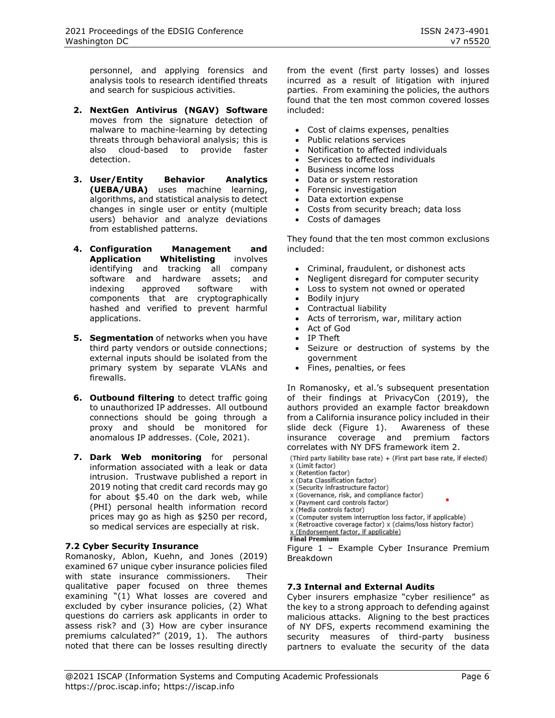personnel, and applying forensics and analysis tools to research identified threats and search for suspicious activities.

- **2. NextGen Antivirus (NGAV) Software** moves from the signature detection of malware to machine-learning by detecting threats through behavioral analysis; this is also cloud-based to provide faster detection.
- **3. User/Entity Behavior Analytics (UEBA/UBA)** uses machine learning, algorithms, and statistical analysis to detect changes in single user or entity (multiple users) behavior and analyze deviations from established patterns.
- **4. Configuration Management and Application Whitelisting** involves identifying and tracking all company software and hardware assets; and indexing approved software with components that are cryptographically hashed and verified to prevent harmful applications.
- **5. Segmentation** of networks when you have third party vendors or outside connections; external inputs should be isolated from the primary system by separate VLANs and firewalls.
- **6. Outbound filtering** to detect traffic going to unauthorized IP addresses. All outbound connections should be going through a proxy and should be monitored for anomalous IP addresses. (Cole, 2021).
- **7. Dark Web monitoring** for personal information associated with a leak or data intrusion. Trustwave published a report in 2019 noting that credit card records may go for about \$5.40 on the dark web, while (PHI) personal health information record prices may go as high as \$250 per record, so medical services are especially at risk.

## **7.2 Cyber Security Insurance**

Romanosky, Ablon, Kuehn, and Jones (2019) examined 67 unique cyber insurance policies filed with state insurance commissioners. Their qualitative paper focused on three themes examining "(1) What losses are covered and excluded by cyber insurance policies, (2) What questions do carriers ask applicants in order to assess risk? and (3) How are cyber insurance premiums calculated?" (2019, 1). The authors noted that there can be losses resulting directly from the event (first party losses) and losses incurred as a result of litigation with injured parties. From examining the policies, the authors found that the ten most common covered losses included:

- Cost of claims expenses, penalties
- Public relations services
- Notification to affected individuals
- Services to affected individuals
- Business income loss
- Data or system restoration
- Forensic investigation
- Data extortion expense
- Costs from security breach; data loss
- Costs of damages

They found that the ten most common exclusions included:

- Criminal, fraudulent, or dishonest acts
- Negligent disregard for computer security
- Loss to system not owned or operated
- Bodily injury
- Contractual liability
- Acts of terrorism, war, military action
- Act of God
- IP Theft
- Seizure or destruction of systems by the government
- Fines, penalties, or fees

In Romanosky, et al.'s subsequent presentation of their findings at PrivacyCon (2019), the authors provided an example factor breakdown from a California insurance policy included in their slide deck (Figure 1). Awareness of these insurance coverage and premium factors correlates with NY DFS framework item 2.

(Third party liability base rate) + (First part base rate, if elected)

- x (Limit factor)<br>x (Limit factor)<br>x (Retention factor)
- x (Data Classification factor)
- x (Security infrastructure factor)
- x (Governance, risk, and compliance factor)
- x (Payment card controls factor)
- x (Media controls factor)
- x (Computer system interruption loss factor, if applicable)
- x (Retroactive coverage factor) x (claims/loss history factor) x (Endorsement factor, if applicable)
- **Final Premium**

Figure 1 – Example Cyber Insurance Premium Breakdown

#### **7.3 Internal and External Audits**

Cyber insurers emphasize "cyber resilience" as the key to a strong approach to defending against malicious attacks. Aligning to the best practices of NY DFS, experts recommend examining the security measures of third-party business partners to evaluate the security of the data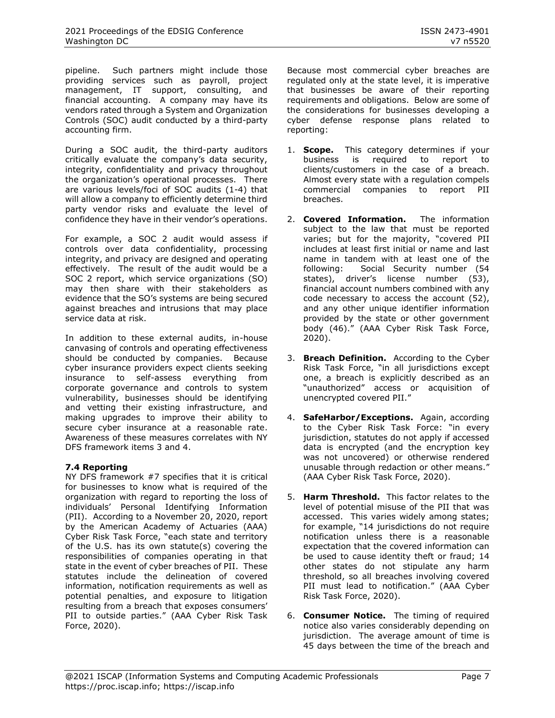pipeline. Such partners might include those providing services such as payroll, project management, IT support, consulting, and financial accounting. A company may have its vendors rated through a System and Organization Controls (SOC) audit conducted by a third-party accounting firm.

During a SOC audit, the third-party auditors critically evaluate the company's data security, integrity, confidentiality and privacy throughout the organization's operational processes. There are various levels/foci of SOC audits (1-4) that will allow a company to efficiently determine third party vendor risks and evaluate the level of confidence they have in their vendor's operations.

For example, a SOC 2 audit would assess if controls over data confidentiality, processing integrity, and privacy are designed and operating effectively. The result of the audit would be a SOC 2 report, which service organizations (SO) may then share with their stakeholders as evidence that the SO's systems are being secured against breaches and intrusions that may place service data at risk.

In addition to these external audits, in-house canvasing of controls and operating effectiveness should be conducted by companies. Because cyber insurance providers expect clients seeking insurance to self-assess everything from corporate governance and controls to system vulnerability, businesses should be identifying and vetting their existing infrastructure, and making upgrades to improve their ability to secure cyber insurance at a reasonable rate. Awareness of these measures correlates with NY DFS framework items 3 and 4.

## **7.4 Reporting**

NY DFS framework #7 specifies that it is critical for businesses to know what is required of the organization with regard to reporting the loss of individuals' Personal Identifying Information (PII). According to a November 20, 2020, report by the American Academy of Actuaries (AAA) Cyber Risk Task Force, "each state and territory of the U.S. has its own statute(s) covering the responsibilities of companies operating in that state in the event of cyber breaches of PII. These statutes include the delineation of covered information, notification requirements as well as potential penalties, and exposure to litigation resulting from a breach that exposes consumers' PII to outside parties." (AAA Cyber Risk Task Force, 2020).

Because most commercial cyber breaches are regulated only at the state level, it is imperative that businesses be aware of their reporting requirements and obligations. Below are some of the considerations for businesses developing a cyber defense response plans related to reporting:

- 1. **Scope.** This category determines if your business is required to report to clients/customers in the case of a breach. Almost every state with a regulation compels commercial companies to report PII breaches.
- 2. **Covered Information.** The information subject to the law that must be reported varies; but for the majority, "covered PII includes at least first initial or name and last name in tandem with at least one of the following: Social Security number (54 states), driver's license number (53), financial account numbers combined with any code necessary to access the account (52), and any other unique identifier information provided by the state or other government body (46)." (AAA Cyber Risk Task Force, 2020).
- 3. **Breach Definition.** According to the Cyber Risk Task Force, "in all jurisdictions except one, a breach is explicitly described as an "unauthorized" access or acquisition of unencrypted covered PII."
- 4. **SafeHarbor/Exceptions.** Again, according to the Cyber Risk Task Force: "in every jurisdiction, statutes do not apply if accessed data is encrypted (and the encryption key was not uncovered) or otherwise rendered unusable through redaction or other means." (AAA Cyber Risk Task Force, 2020).
- 5. **Harm Threshold.** This factor relates to the level of potential misuse of the PII that was accessed. This varies widely among states; for example, "14 jurisdictions do not require notification unless there is a reasonable expectation that the covered information can be used to cause identity theft or fraud; 14 other states do not stipulate any harm threshold, so all breaches involving covered PII must lead to notification." (AAA Cyber Risk Task Force, 2020).
- 6. **Consumer Notice.** The timing of required notice also varies considerably depending on jurisdiction. The average amount of time is 45 days between the time of the breach and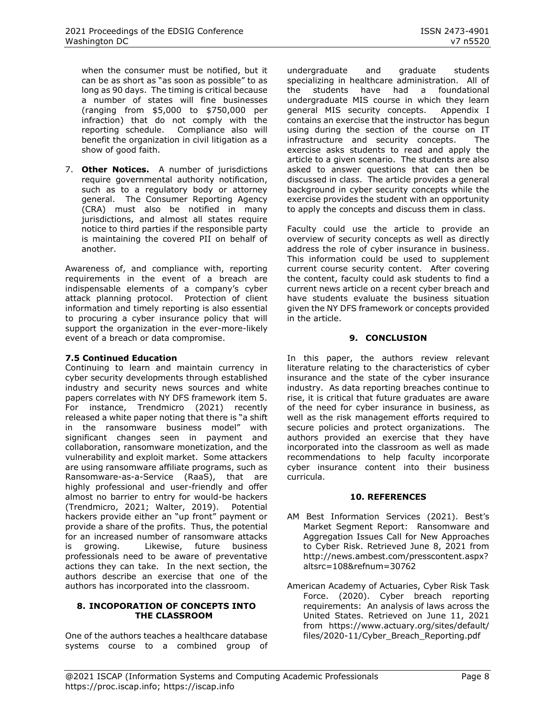when the consumer must be notified, but it can be as short as "as soon as possible" to as long as 90 days. The timing is critical because a number of states will fine businesses (ranging from \$5,000 to \$750,000 per infraction) that do not comply with the reporting schedule. Compliance also will benefit the organization in civil litigation as a show of good faith.

7. **Other Notices.** A number of jurisdictions require governmental authority notification, such as to a regulatory body or attorney general. The Consumer Reporting Agency (CRA) must also be notified in many jurisdictions, and almost all states require notice to third parties if the responsible party is maintaining the covered PII on behalf of another.

Awareness of, and compliance with, reporting requirements in the event of a breach are indispensable elements of a company's cyber attack planning protocol. Protection of client information and timely reporting is also essential to procuring a cyber insurance policy that will support the organization in the ever-more-likely event of a breach or data compromise.

## **7.5 Continued Education**

Continuing to learn and maintain currency in cyber security developments through established industry and security news sources and white papers correlates with NY DFS framework item 5. For instance, Trendmicro (2021) recently released a white paper noting that there is "a shift in the ransomware business model" with significant changes seen in payment and collaboration, ransomware monetization, and the vulnerability and exploit market. Some attackers are using ransomware affiliate programs, such as Ransomware-as-a-Service (RaaS), that are highly professional and user-friendly and offer almost no barrier to entry for would-be hackers (Trendmicro, 2021; Walter, 2019). Potential hackers provide either an "up front" payment or provide a share of the profits. Thus, the potential for an increased number of ransomware attacks is growing. Likewise, future business professionals need to be aware of preventative actions they can take. In the next section, the authors describe an exercise that one of the authors has incorporated into the classroom.

#### **8. INCOPORATION OF CONCEPTS INTO THE CLASSROOM**

One of the authors teaches a healthcare database systems course to a combined group of undergraduate and graduate students specializing in healthcare administration. All of the students have had a foundational undergraduate MIS course in which they learn general MIS security concepts. Appendix I contains an exercise that the instructor has begun using during the section of the course on IT infrastructure and security concepts. The exercise asks students to read and apply the article to a given scenario. The students are also asked to answer questions that can then be discussed in class. The article provides a general background in cyber security concepts while the exercise provides the student with an opportunity to apply the concepts and discuss them in class.

Faculty could use the article to provide an overview of security concepts as well as directly address the role of cyber insurance in business. This information could be used to supplement current course security content. After covering the content, faculty could ask students to find a current news article on a recent cyber breach and have students evaluate the business situation given the NY DFS framework or concepts provided in the article.

### **9. CONCLUSION**

In this paper, the authors review relevant literature relating to the characteristics of cyber insurance and the state of the cyber insurance industry. As data reporting breaches continue to rise, it is critical that future graduates are aware of the need for cyber insurance in business, as well as the risk management efforts required to secure policies and protect organizations. The authors provided an exercise that they have incorporated into the classroom as well as made recommendations to help faculty incorporate cyber insurance content into their business curricula.

#### **10. REFERENCES**

- AM Best Information Services (2021). Best's Market Segment Report: Ransomware and Aggregation Issues Call for New Approaches to Cyber Risk. Retrieved June 8, 2021 from [http://news.ambest.com/presscontent.aspx?](http://news.ambest.com/presscontent.aspx?altsrc=108&refnum=30762) [altsrc=108&refnum=30762](http://news.ambest.com/presscontent.aspx?altsrc=108&refnum=30762)
- American Academy of Actuaries, Cyber Risk Task Force. (2020). Cyber breach reporting requirements: An analysis of laws across the United States. Retrieved on June 11, 2021 from [https://www.actuary.org/sites/default/](https://www.actuary.org/sites/default/files/2020-11/Cyber_Breach_Reporting.pdf) [files/2020-11/Cyber\\_Breach\\_Reporting.pdf](https://www.actuary.org/sites/default/files/2020-11/Cyber_Breach_Reporting.pdf)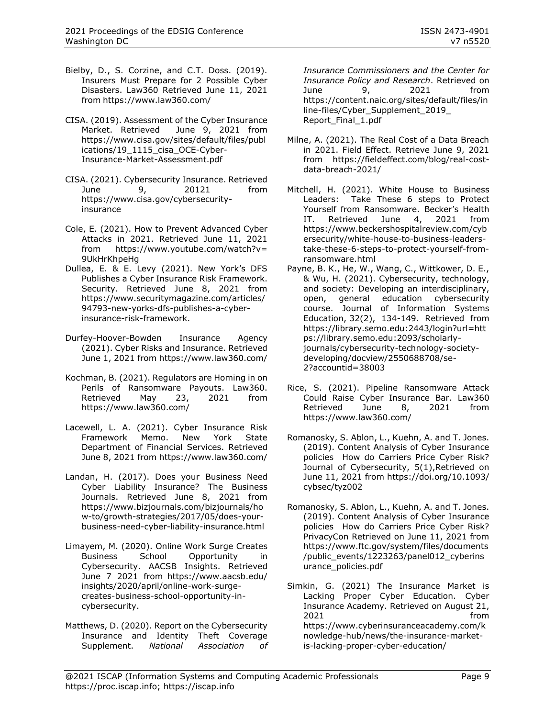- Bielby, D., S. Corzine, and C.T. Doss. (2019). Insurers Must Prepare for 2 Possible Cyber Disasters. Law360 Retrieved June 11, 2021 from <https://www.law360.com/>
- CISA. (2019). Assessment of the Cyber Insurance<br>Market. Retrieved June 9, 2021 from June 9, 2021 from [https://www.cisa.gov/sites/default/files/publ](https://www.cisa.gov/sites/default/files/publications/19_1115_cisa_OCE-Cyber-Insurance-Market-Assessment.pdf) [ications/19\\_1115\\_cisa\\_OCE-Cyber-](https://www.cisa.gov/sites/default/files/publications/19_1115_cisa_OCE-Cyber-Insurance-Market-Assessment.pdf)[Insurance-Market-Assessment.pdf](https://www.cisa.gov/sites/default/files/publications/19_1115_cisa_OCE-Cyber-Insurance-Market-Assessment.pdf)
- CISA. (2021). Cybersecurity Insurance. Retrieved June 9, 20121 from [https://www.cisa.gov/cybersecurity](https://www.cisa.gov/cybersecurity-insurance)[insurance](https://www.cisa.gov/cybersecurity-insurance)
- Cole, E. (2021). How to Prevent Advanced Cyber Attacks in 2021. Retrieved June 11, 2021 from [https://www.youtube.com/watch?v=](https://www.youtube.com/watch?v=9UkHrKhpeHg) [9UkHrKhpeHg](https://www.youtube.com/watch?v=9UkHrKhpeHg)
- Dullea, E. & E. Levy (2021). New York's DFS Publishes a Cyber Insurance Risk Framework. Security. Retrieved June 8, 2021 from [https://www.securitymagazine.com/articles/](https://www.securitymagazine.com/articles/94793-new-yorks-dfs-publishes-a-cyber-insurance-risk-framework) [94793-new-yorks-dfs-publishes-a-cyber](https://www.securitymagazine.com/articles/94793-new-yorks-dfs-publishes-a-cyber-insurance-risk-framework)[insurance-risk-framework.](https://www.securitymagazine.com/articles/94793-new-yorks-dfs-publishes-a-cyber-insurance-risk-framework)
- Durfey-Hoover-Bowden Insurance Agency (2021). Cyber Risks and Insurance. Retrieved June 1, 2021 from<https://www.law360.com/>
- Kochman, B. (2021). Regulators are Homing in on Perils of Ransomware Payouts. Law360. Retrieved May 23, 2021 from <https://www.law360.com/>
- Lacewell, L. A. (2021). Cyber Insurance Risk Framework Memo. New York State Department of Financial Services. Retrieved June 8, 2021 from<https://www.law360.com/>
- Landan, H. (2017). Does your Business Need Cyber Liability Insurance? The Business Journals. Retrieved June 8, 2021 from [https://www.bizjournals.com/bizjournals/ho](https://www.bizjournals.com/bizjournals/how-to/growth-strategies/2017/05/does-your-business-need-cyber-liability-insurance.html) [w-to/growth-strategies/2017/05/does-your](https://www.bizjournals.com/bizjournals/how-to/growth-strategies/2017/05/does-your-business-need-cyber-liability-insurance.html)[business-need-cyber-liability-insurance.html](https://www.bizjournals.com/bizjournals/how-to/growth-strategies/2017/05/does-your-business-need-cyber-liability-insurance.html)
- Limayem, M. (2020). Online Work Surge Creates Business School Opportunity in Cybersecurity. AACSB Insights. Retrieved June 7 2021 from [https://www.aacsb.edu/](https://www.aacsb.edu/insights/2020/april/online-work-surge-creates-business-school-opportunity-in-cybersecurity) [insights/2020/april/online-work-surge](https://www.aacsb.edu/insights/2020/april/online-work-surge-creates-business-school-opportunity-in-cybersecurity)[creates-business-school-opportunity-in](https://www.aacsb.edu/insights/2020/april/online-work-surge-creates-business-school-opportunity-in-cybersecurity)[cybersecurity.](https://www.aacsb.edu/insights/2020/april/online-work-surge-creates-business-school-opportunity-in-cybersecurity)
- Matthews, D. (2020). Report on the Cybersecurity Insurance and Identity Theft Coverage Supplement. *National Association of*

*Insurance Commissioners and the Center for Insurance Policy and Research*. Retrieved on June 9, 2021 from [https://content.naic.org/sites/default/files/in](https://content.naic.org/sites/default/files/inline-files/Cyber_Supplement_2019_Report_Final_1.pdf) [line-files/Cyber\\_Supplement\\_2019\\_](https://content.naic.org/sites/default/files/inline-files/Cyber_Supplement_2019_Report_Final_1.pdf) [Report\\_Final\\_1.pdf](https://content.naic.org/sites/default/files/inline-files/Cyber_Supplement_2019_Report_Final_1.pdf) 

- Milne, A. (2021). The Real Cost of a Data Breach in 2021. Field Effect. Retrieve June 9, 2021 from [https://fieldeffect.com/blog/real-cost](https://fieldeffect.com/blog/real-cost-data-breach-2021/)[data-breach-2021/](https://fieldeffect.com/blog/real-cost-data-breach-2021/)
- Mitchell, H. (2021). White House to Business Leaders: Take These 6 steps to Protect Yourself from Ransomware. Becker's Health IT. Retrieved June 4, 2021 from [https://www.beckershospitalreview.com/cyb](https://www.beckershospitalreview.com/cybersecurity/white-house-to-business-leaders-take-these-6-steps-to-protect-yourself-from-ransomware.html) [ersecurity/white-house-to-business-leaders](https://www.beckershospitalreview.com/cybersecurity/white-house-to-business-leaders-take-these-6-steps-to-protect-yourself-from-ransomware.html)[take-these-6-steps-to-protect-yourself-from](https://www.beckershospitalreview.com/cybersecurity/white-house-to-business-leaders-take-these-6-steps-to-protect-yourself-from-ransomware.html)[ransomware.html](https://www.beckershospitalreview.com/cybersecurity/white-house-to-business-leaders-take-these-6-steps-to-protect-yourself-from-ransomware.html)
- Payne, B. K., He, W., Wang, C., Wittkower, D. E., & Wu, H. (2021). Cybersecurity, technology, and society: Developing an interdisciplinary, open, general education cybersecurity course. Journal of Information Systems Education, 32(2), 134-149. Retrieved from [https://library.semo.edu:2443/login?url=htt](https://library.semo.edu:2443/login?url=https://library.semo.edu:2093/scholarly-journals/cybersecurity-technology-society-developing/docview/2550688708/se-2?accountid=38003) [ps://library.semo.edu:2093/scholarly](https://library.semo.edu:2443/login?url=https://library.semo.edu:2093/scholarly-journals/cybersecurity-technology-society-developing/docview/2550688708/se-2?accountid=38003)[journals/cybersecurity-technology-society](https://library.semo.edu:2443/login?url=https://library.semo.edu:2093/scholarly-journals/cybersecurity-technology-society-developing/docview/2550688708/se-2?accountid=38003)[developing/docview/2550688708/se-](https://library.semo.edu:2443/login?url=https://library.semo.edu:2093/scholarly-journals/cybersecurity-technology-society-developing/docview/2550688708/se-2?accountid=38003)[2?accountid=38003](https://library.semo.edu:2443/login?url=https://library.semo.edu:2093/scholarly-journals/cybersecurity-technology-society-developing/docview/2550688708/se-2?accountid=38003)
- Rice, S. (2021). Pipeline Ransomware Attack Could Raise Cyber Insurance Bar. Law360 Retrieved June 8, 2021 from <https://www.law360.com/>
- Romanosky, S. Ablon, L., Kuehn, A. and T. Jones. (2019). Content Analysis of Cyber Insurance policies How do Carriers Price Cyber Risk? Journal of Cybersecurity, 5(1),Retrieved on June 11, 2021 from [https://doi.org/10.1093/](https://doi.org/10.1093/cybsec/tyz002) [cybsec/tyz002](https://doi.org/10.1093/cybsec/tyz002)
- Romanosky, S. Ablon, L., Kuehn, A. and T. Jones. (2019). Content Analysis of Cyber Insurance policies How do Carriers Price Cyber Risk? PrivacyCon Retrieved on June 11, 2021 from [https://www.ftc.gov/system/files/documents](https://www.ftc.gov/system/files/documents/public_events/1223263/panel012_cyberinsurance_policies.pdf) [/public\\_events/1223263/panel012\\_cyberins](https://www.ftc.gov/system/files/documents/public_events/1223263/panel012_cyberinsurance_policies.pdf) [urance\\_policies.pdf](https://www.ftc.gov/system/files/documents/public_events/1223263/panel012_cyberinsurance_policies.pdf)
- Simkin, G. (2021) The Insurance Market is Lacking Proper Cyber Education. Cyber Insurance Academy. Retrieved on August 21, 2021 from [https://www.cyberinsuranceacademy.com/k](https://www.cyberinsuranceacademy.com/knowledge-hub/news/the-insurance-market-is-lacking-proper-cyber-education/) [nowledge-hub/news/the-insurance-market](https://www.cyberinsuranceacademy.com/knowledge-hub/news/the-insurance-market-is-lacking-proper-cyber-education/)[is-lacking-proper-cyber-education/](https://www.cyberinsuranceacademy.com/knowledge-hub/news/the-insurance-market-is-lacking-proper-cyber-education/)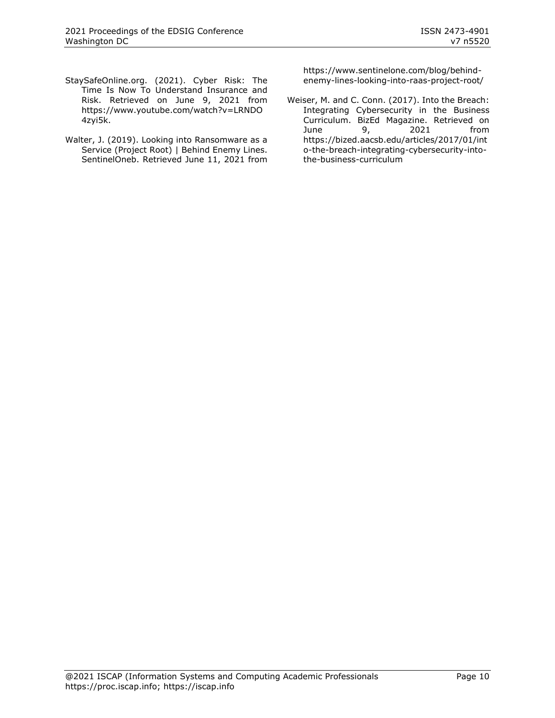- StaySafeOnline.org. (2021). Cyber Risk: The Time Is Now To Understand Insurance and Risk. Retrieved on June 9, 2021 from [https://www.youtube.com/watch?v=LRNDO](https://www.youtube.com/watch?v=LRNDO4zyi5k) [4zyi5k.](https://www.youtube.com/watch?v=LRNDO4zyi5k)
- Walter, J. (2019). Looking into Ransomware as a Service (Project Root) | Behind Enemy Lines. SentinelOneb. Retrieved June 11, 2021 from

[https://www.sentinelone.com/blog/behind](https://www.sentinelone.com/blog/behind-enemy-lines-looking-into-raas-project-root/)[enemy-lines-looking-into-raas-project-root/](https://www.sentinelone.com/blog/behind-enemy-lines-looking-into-raas-project-root/)

Weiser, M. and C. Conn. (2017). Into the Breach: Integrating Cybersecurity in the Business Curriculum. BizEd Magazine. Retrieved on June 9, 2021 from [https://bized.aacsb.edu/articles/2017/01/int](https://bized.aacsb.edu/articles/2017/01/into-the-breach-integrating-cybersecurity-into-the-business-curriculum) [o-the-breach-integrating-cybersecurity-into](https://bized.aacsb.edu/articles/2017/01/into-the-breach-integrating-cybersecurity-into-the-business-curriculum)[the-business-curriculum](https://bized.aacsb.edu/articles/2017/01/into-the-breach-integrating-cybersecurity-into-the-business-curriculum)